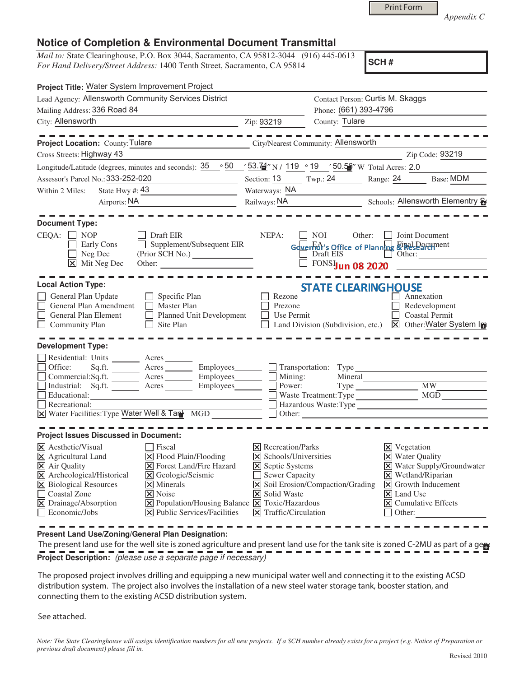|  | <b>Print Form</b> |
|--|-------------------|
|  |                   |

*Appendix C* 

## **Notice of Completion & Environmental Document Transmittal**

*Mail to:* State Clearinghouse, P.O. Box 3044, Sacramento, CA 95812-3044 (916) 445-0613 *For Hand Delivery/Street Address:* 1400 Tenth Street, Sacramento, CA 95814

**SCH #**

| Project Title: Water System Improvement Project                                                                                                                                                                                                                                                                                                                                                                                                                                                                          |                                                                                                                                                                 |                                                                       |                                                                                                                                                                                                                                                             |
|--------------------------------------------------------------------------------------------------------------------------------------------------------------------------------------------------------------------------------------------------------------------------------------------------------------------------------------------------------------------------------------------------------------------------------------------------------------------------------------------------------------------------|-----------------------------------------------------------------------------------------------------------------------------------------------------------------|-----------------------------------------------------------------------|-------------------------------------------------------------------------------------------------------------------------------------------------------------------------------------------------------------------------------------------------------------|
| Lead Agency: Allensworth Community Services District                                                                                                                                                                                                                                                                                                                                                                                                                                                                     | Contact Person: Curtis M. Skaggs                                                                                                                                |                                                                       |                                                                                                                                                                                                                                                             |
| Mailing Address: 336 Road 84                                                                                                                                                                                                                                                                                                                                                                                                                                                                                             |                                                                                                                                                                 | Phone: (661) 393-4796                                                 |                                                                                                                                                                                                                                                             |
| City: Allensworth                                                                                                                                                                                                                                                                                                                                                                                                                                                                                                        | Zip: 93219                                                                                                                                                      | County: Tulare                                                        |                                                                                                                                                                                                                                                             |
| City/Nearest Community: Allensworth<br>Project Location: County: Tulare                                                                                                                                                                                                                                                                                                                                                                                                                                                  |                                                                                                                                                                 |                                                                       |                                                                                                                                                                                                                                                             |
| Cross Streets: Highway 43                                                                                                                                                                                                                                                                                                                                                                                                                                                                                                |                                                                                                                                                                 |                                                                       | Zip Code: 93219                                                                                                                                                                                                                                             |
| Longitude/Latitude (degrees, minutes and seconds): $\frac{35}{100}$ $\frac{50}{100}$ $\frac{53.74}{100}$ N / 119 $\degree$ 19 $\degree$ 50.5 <sup>6</sup> W Total Acres: 2.0                                                                                                                                                                                                                                                                                                                                             |                                                                                                                                                                 |                                                                       |                                                                                                                                                                                                                                                             |
| Assessor's Parcel No.: 333-252-020                                                                                                                                                                                                                                                                                                                                                                                                                                                                                       |                                                                                                                                                                 |                                                                       | Section: 13 Twp.: 24 Range: 24 Base: MDM                                                                                                                                                                                                                    |
| State Hwy #: $43$<br>Within 2 Miles:                                                                                                                                                                                                                                                                                                                                                                                                                                                                                     | Waterways: NA                                                                                                                                                   |                                                                       |                                                                                                                                                                                                                                                             |
| Airports: NA<br><u> 1989 - John Stein, mars and de Branden</u>                                                                                                                                                                                                                                                                                                                                                                                                                                                           |                                                                                                                                                                 |                                                                       | Railways: NA Schools: Allensworth Elementry                                                                                                                                                                                                                 |
| <b>Document Type:</b><br>$CEQA: \Box NP$<br>Draft EIR<br>Supplement/Subsequent EIR<br>Early Cons<br>Neg Dec<br>$\boxed{\mathsf{X}}$ Mit Neg Dec<br>Other:                                                                                                                                                                                                                                                                                                                                                                | NEPA:                                                                                                                                                           | $\Box$ NOI                                                            | Other: <b>I</b> Joint Document<br>Governor's Office of Planning Final Document<br>Draft EIS Other:<br>$\Box$ FONSIJun 08 2020                                                                                                                               |
| <b>Local Action Type:</b>                                                                                                                                                                                                                                                                                                                                                                                                                                                                                                |                                                                                                                                                                 | <b>STATE CLEARINGHOUSE</b>                                            |                                                                                                                                                                                                                                                             |
| General Plan Update<br>$\Box$ Specific Plan<br>General Plan Amendment<br>$\mathcal{L}_{\mathcal{A}}$<br>Master Plan<br>General Plan Element<br>Planned Unit Development<br>Community Plan<br>$\Box$ Site Plan                                                                                                                                                                                                                                                                                                            | Rezone<br>Prezone<br>Use Permit                                                                                                                                 |                                                                       | Annexation<br>Redevelopment<br><b>Coastal Permit</b><br>Land Division (Subdivision, etc.) X Other: Water System In                                                                                                                                          |
| <b>Development Type:</b>                                                                                                                                                                                                                                                                                                                                                                                                                                                                                                 |                                                                                                                                                                 |                                                                       |                                                                                                                                                                                                                                                             |
| Residential: Units _______ Acres<br>Sq.ft. _________ Acres __________ Employees ________ $\Box$ Transportation: Type ___<br>Office:<br>Commercial:Sq.ft. <u>Acres</u> Acres Employees<br>Industrial: Sq.ft. Acres Employees<br>Г<br>Educational:<br>Recreational:<br>X Water Facilities: Type Water Well & Tan MGD                                                                                                                                                                                                       | Power:                                                                                                                                                          | Mining:<br>Mineral<br>Waste Treatment: Type<br>Other: $\qquad \qquad$ | Type MW_<br>MGD<br>Hazardous Waste:Type                                                                                                                                                                                                                     |
| <b>Project Issues Discussed in Document:</b>                                                                                                                                                                                                                                                                                                                                                                                                                                                                             |                                                                                                                                                                 |                                                                       |                                                                                                                                                                                                                                                             |
| $\overline{\mathsf{x}}$ Aesthetic/Visual<br>  Fiscal<br>X Agricultural Land<br>X Flood Plain/Flooding<br>$\overline{\mathsf{X}}$ Air Quality<br>$\triangleright$ Forest Land/Fire Hazard<br>X Archeological/Historical<br>X Geologic/Seismic<br>X Biological Resources<br>$\times$ Minerals<br>Coastal Zone<br><b>X</b> Noise<br>X Drainage/Absorption<br>$\boxed{\mathsf{X}}$ Population/Housing Balance $\boxed{\mathsf{X}}$ Toxic/Hazardous<br>$\Box$ Economic/Jobs<br>$ \mathbf{\times} $ Public Services/Facilities | $ \mathsf{X} $ Recreation/Parks<br>$\triangleright$ Schools/Universities<br><b>X</b> Septic Systems<br>Sewer Capacity<br>X Solid Waste<br>X Traffic/Circulation | X Soil Erosion/Compaction/Grading                                     | $\boxtimes$ Vegetation<br><b>X</b> Water Quality<br>X Water Supply/Groundwater<br>$\times$ Wetland/Riparian<br>$\vert\overline{\mathsf{x}}\vert$ Growth Inducement<br>$\overline{\mathsf{x}}$ Land Use<br>$\boxed{\mathsf{X}}$ Cumulative Effects<br>Other: |

**Present Land Use/Zoning/General Plan Designation:**

The present land use for the well site is zoned agriculture and present land use for the tank site is zoned C-2MU as part of a gere **Project Description:** (please use a separate page if necessary)

 The proposed project involves drilling and equipping a new municipal water well and connecting it to the existing ACSD distribution system. The project also involves the installation of a new steel water storage tank, booster station, and connecting them to the existing ACSD distribution system.

See attached.